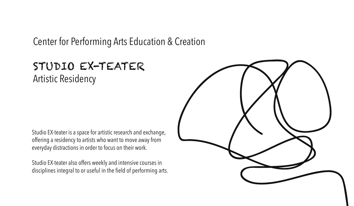Center for Performing Arts Education & Creation

# STUDIO EX-TEATER Artistic Residency

Studio EX-teater is a space for artistic research and exchange, offering a residency to artists who want to move away from everyday distractions in order to focus on their work.

Studio EX-teater also offers weekly and intensive courses in disciplines integral to or useful in the field of performing arts.

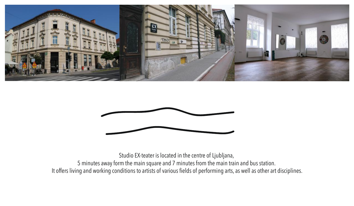



Studio EX-teater is located in the centre of Ljubljana, 5 minutes away form the main square and 7 minutes from the main train and bus station.

It offers living and working conditions to artists of various fields of performing arts, as well as other art disciplines.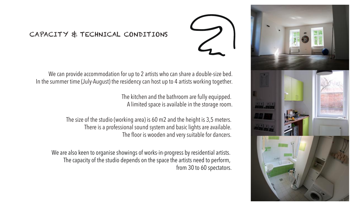

# CAPACITY & TECHNICAL CONDITIONS

We can provide accommodation for up to 2 artists who can share a double-size bed. In the summer time (July-August) the residency can host up to 4 artists working together.

> The kitchen and the bathroom are fully equipped. A limited space is available in the storage room.

The size of the studio (working area) is 60 m2 and the height is 3,5 meters. There is a professional sound system and basic lights are available. The floor is wooden and very suitable for dancers.

We are also keen to organise showings of works-in-progress by residential artists. The capacity of the studio depends on the space the artists need to perform, from 30 to 60 spectators.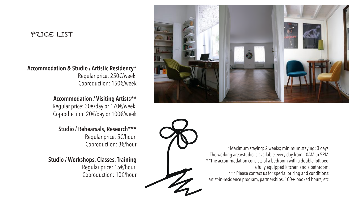#### PRICE LIST

#### **Accommodation & Studio / Artistic Residency\***

Regular price: 250€/week Coproduction: 150€/week

### **Accommodation / Visiting Artists\*\***

Regular price: 30€/day or 170€/week Coproduction: 20€/day or 100€/week

## **Studio / Rehearsals, Research\*\*\***

Regular price: 5€/hour Coproduction: 3€/hour

**Studio / Workshops, Classes, Training** Regular price: 15€/hour Coproduction: 10€/hour





\*Maximum staying: 2 weeks; minimum staying: 3 days. The working area/studio is available every day from 10AM to 5PM. \*\*The accommodation consists of a bedroom with a double loft bed, a fully equipped kitchen and a bathroom. \*\*\* Please contact us for special pricing and conditions: artist-in-residence program, partnerships, 100+ booked hours, etc.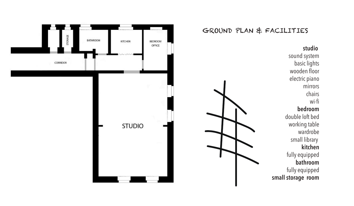#### GROUND PLAN & FACILITIESSTORAGE BATHROOM KITCHEN BEDROOM OFFICE **studio** sound system CORRIDOR basic lights wooden floor electric piano mirrors chairs wi-fi **bedroom** double loft bed working table **STUDIO**  wardrobe small library **kitchen** fully equipped **bathroom** fully equipped **small storage room**